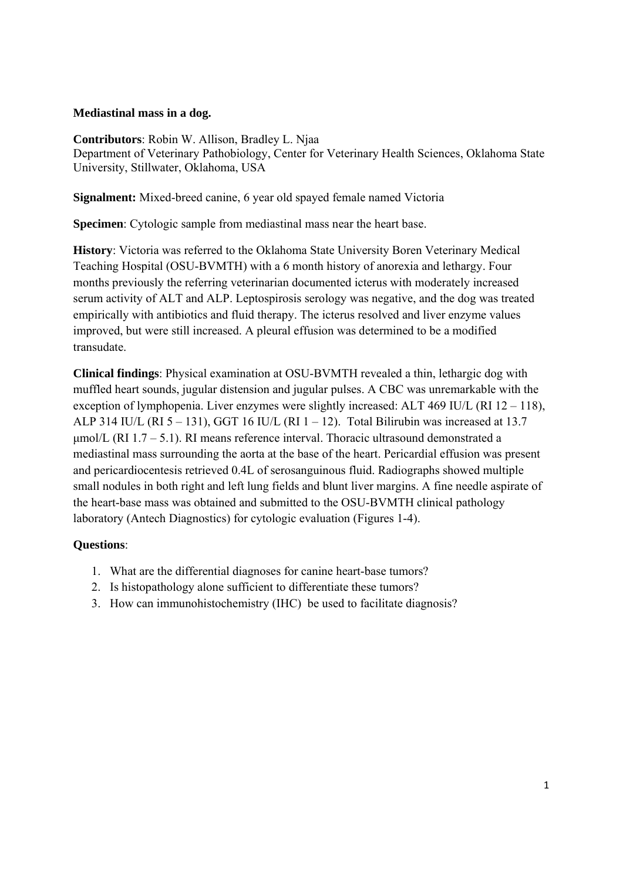## **Mediastinal mass in a dog.**

**Contributors**: Robin W. Allison, Bradley L. Njaa Department of Veterinary Pathobiology, Center for Veterinary Health Sciences, Oklahoma State University, Stillwater, Oklahoma, USA

**Signalment:** Mixed-breed canine, 6 year old spayed female named Victoria

**Specimen**: Cytologic sample from mediastinal mass near the heart base.

**History**: Victoria was referred to the Oklahoma State University Boren Veterinary Medical Teaching Hospital (OSU-BVMTH) with a 6 month history of anorexia and lethargy. Four months previously the referring veterinarian documented icterus with moderately increased serum activity of ALT and ALP. Leptospirosis serology was negative, and the dog was treated empirically with antibiotics and fluid therapy. The icterus resolved and liver enzyme values improved, but were still increased. A pleural effusion was determined to be a modified transudate.

**Clinical findings**: Physical examination at OSU-BVMTH revealed a thin, lethargic dog with muffled heart sounds, jugular distension and jugular pulses. A CBC was unremarkable with the exception of lymphopenia. Liver enzymes were slightly increased: ALT 469 IU/L (RI 12 – 118), ALP 314 IU/L (RI  $5 - 131$ ), GGT 16 IU/L (RI  $1 - 12$ ). Total Bilirubin was increased at 13.7  $\mu$ mol/L (RI 1.7 – 5.1). RI means reference interval. Thoracic ultrasound demonstrated a mediastinal mass surrounding the aorta at the base of the heart. Pericardial effusion was present and pericardiocentesis retrieved 0.4L of serosanguinous fluid. Radiographs showed multiple small nodules in both right and left lung fields and blunt liver margins. A fine needle aspirate of the heart-base mass was obtained and submitted to the OSU-BVMTH clinical pathology laboratory (Antech Diagnostics) for cytologic evaluation (Figures 1-4).

## **Questions**:

- 1. What are the differential diagnoses for canine heart-base tumors?
- 2. Is histopathology alone sufficient to differentiate these tumors?
- 3. How can immunohistochemistry (IHC) be used to facilitate diagnosis?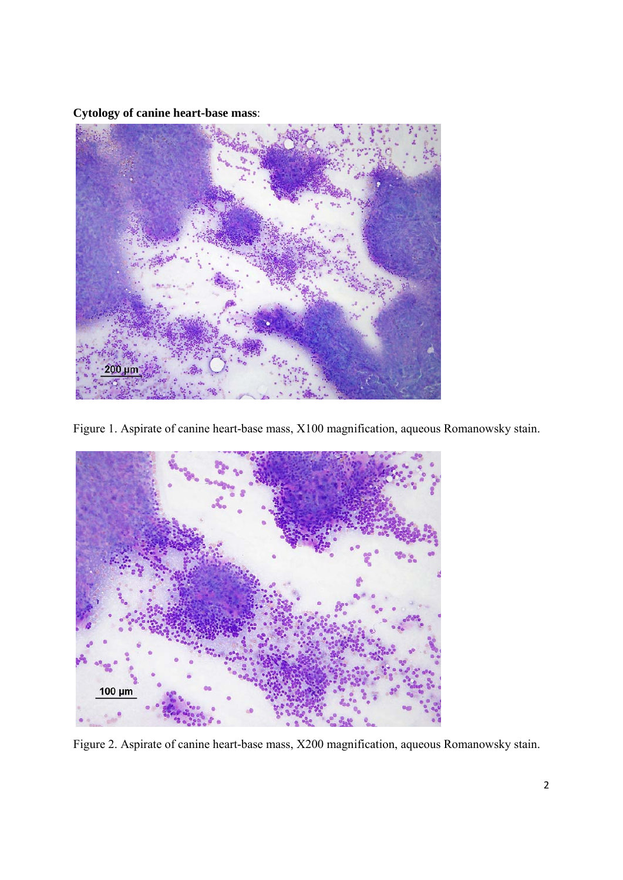**Cytology of canine heart-base mass**:



Figure 1. Aspirate of canine heart-base mass, X100 magnification, aqueous Romanowsky stain.



Figure 2. Aspirate of canine heart-base mass, X200 magnification, aqueous Romanowsky stain.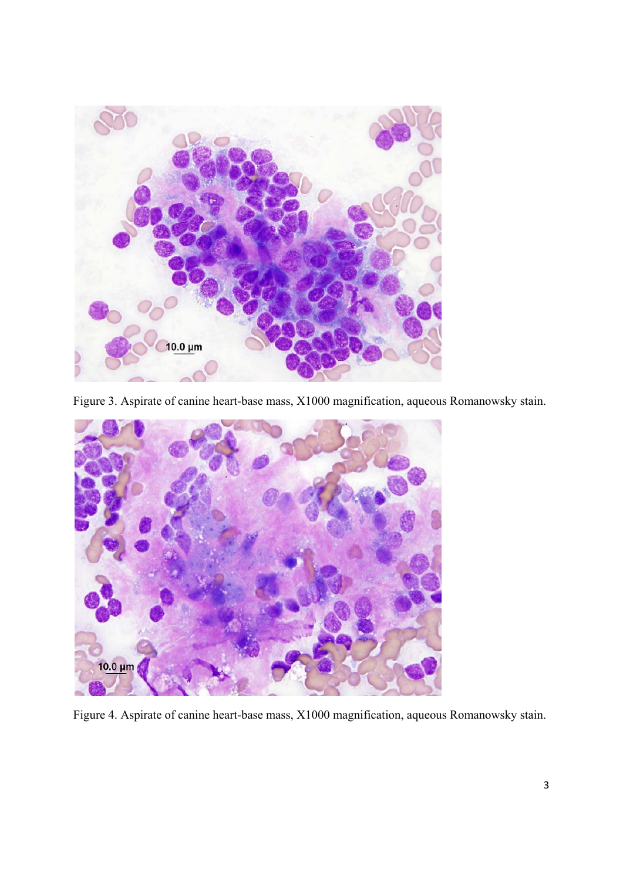

Figure 3. Aspirate of canine heart-base mass, X1000 magnification, aqueous Romanowsky stain.



Figure 4. Aspirate of canine heart-base mass, X1000 magnification, aqueous Romanowsky stain.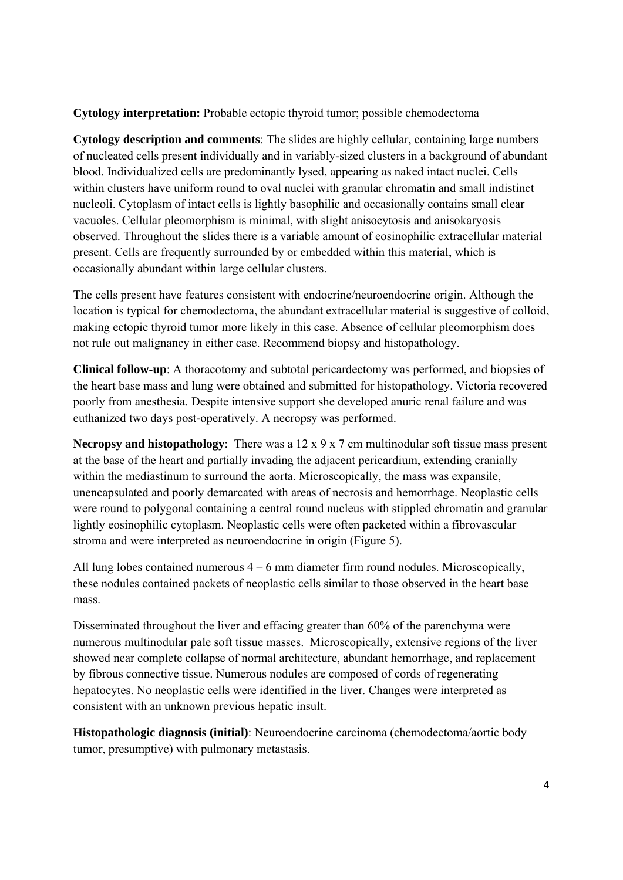**Cytology interpretation:** Probable ectopic thyroid tumor; possible chemodectoma

**Cytology description and comments**: The slides are highly cellular, containing large numbers of nucleated cells present individually and in variably-sized clusters in a background of abundant blood. Individualized cells are predominantly lysed, appearing as naked intact nuclei. Cells within clusters have uniform round to oval nuclei with granular chromatin and small indistinct nucleoli. Cytoplasm of intact cells is lightly basophilic and occasionally contains small clear vacuoles. Cellular pleomorphism is minimal, with slight anisocytosis and anisokaryosis observed. Throughout the slides there is a variable amount of eosinophilic extracellular material present. Cells are frequently surrounded by or embedded within this material, which is occasionally abundant within large cellular clusters.

The cells present have features consistent with endocrine/neuroendocrine origin. Although the location is typical for chemodectoma, the abundant extracellular material is suggestive of colloid, making ectopic thyroid tumor more likely in this case. Absence of cellular pleomorphism does not rule out malignancy in either case. Recommend biopsy and histopathology.

**Clinical follow-up**: A thoracotomy and subtotal pericardectomy was performed, and biopsies of the heart base mass and lung were obtained and submitted for histopathology. Victoria recovered poorly from anesthesia. Despite intensive support she developed anuric renal failure and was euthanized two days post-operatively. A necropsy was performed.

**Necropsy and histopathology**: There was a 12 x 9 x 7 cm multinodular soft tissue mass present at the base of the heart and partially invading the adjacent pericardium, extending cranially within the mediastinum to surround the aorta. Microscopically, the mass was expansile, unencapsulated and poorly demarcated with areas of necrosis and hemorrhage. Neoplastic cells were round to polygonal containing a central round nucleus with stippled chromatin and granular lightly eosinophilic cytoplasm. Neoplastic cells were often packeted within a fibrovascular stroma and were interpreted as neuroendocrine in origin (Figure 5).

All lung lobes contained numerous  $4 - 6$  mm diameter firm round nodules. Microscopically, these nodules contained packets of neoplastic cells similar to those observed in the heart base mass.

Disseminated throughout the liver and effacing greater than 60% of the parenchyma were numerous multinodular pale soft tissue masses. Microscopically, extensive regions of the liver showed near complete collapse of normal architecture, abundant hemorrhage, and replacement by fibrous connective tissue. Numerous nodules are composed of cords of regenerating hepatocytes. No neoplastic cells were identified in the liver. Changes were interpreted as consistent with an unknown previous hepatic insult.

**Histopathologic diagnosis (initial)**: Neuroendocrine carcinoma (chemodectoma/aortic body tumor, presumptive) with pulmonary metastasis.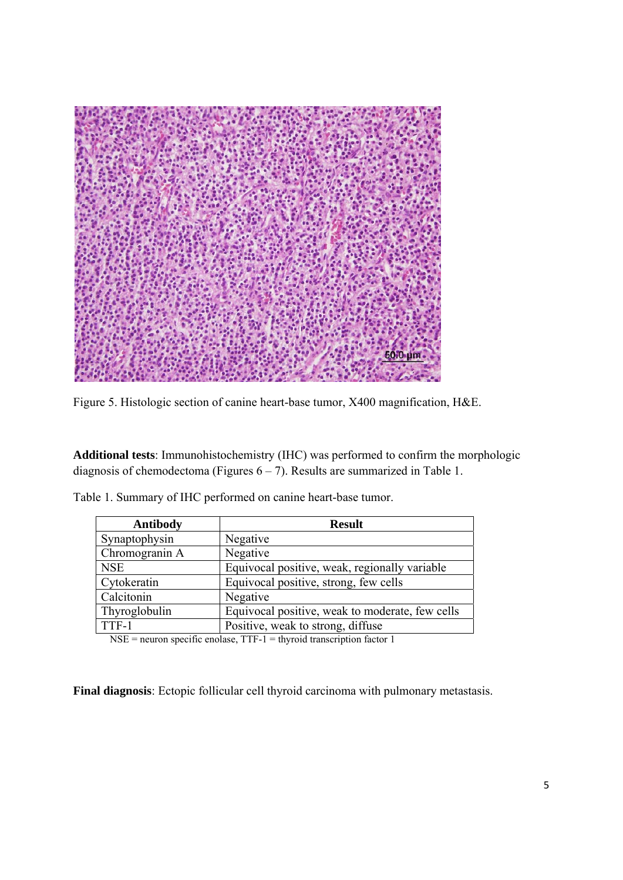

Figure 5. Histologic section of canine heart-base tumor, X400 magnification, H&E.

**Additional tests**: Immunohistochemistry (IHC) was performed to confirm the morphologic diagnosis of chemodectoma (Figures  $6 - 7$ ). Results are summarized in Table 1.

| <b>Antibody</b> | <b>Result</b>                                   |
|-----------------|-------------------------------------------------|
| Synaptophysin   | Negative                                        |
| Chromogranin A  | Negative                                        |
| <b>NSE</b>      | Equivocal positive, weak, regionally variable   |
| Cytokeratin     | Equivocal positive, strong, few cells           |
| Calcitonin      | Negative                                        |
| Thyroglobulin   | Equivocal positive, weak to moderate, few cells |
| TTF-1           | Positive, weak to strong, diffuse               |

Table 1. Summary of IHC performed on canine heart-base tumor.

NSE = neuron specific enolase, TTF-1 = thyroid transcription factor 1

**Final diagnosis**: Ectopic follicular cell thyroid carcinoma with pulmonary metastasis.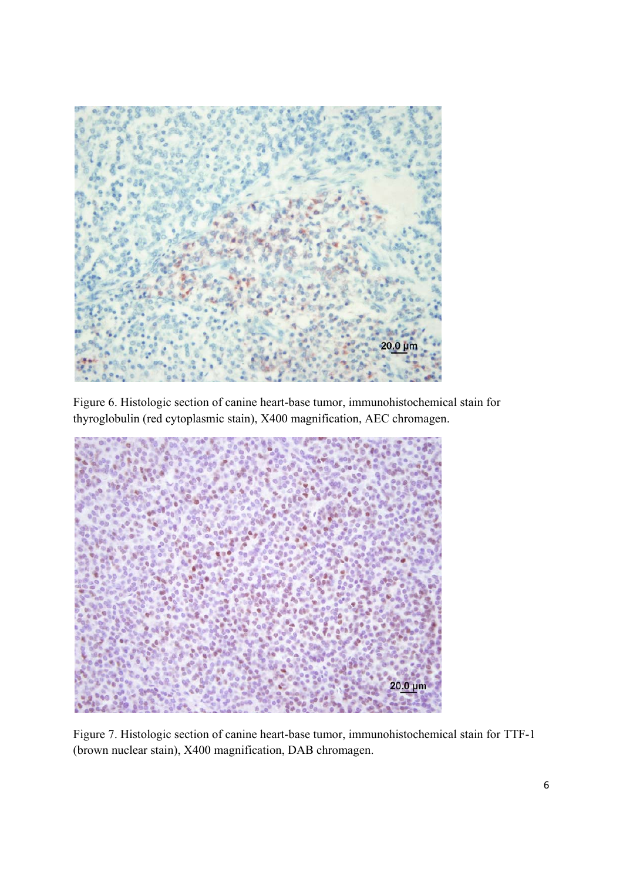

Figure 6. Histologic section of canine heart-base tumor, immunohistochemical stain for thyroglobulin (red cytoplasmic stain), X400 magnification, AEC chromagen.



Figure 7. Histologic section of canine heart-base tumor, immunohistochemical stain for TTF-1 (brown nuclear stain), X400 magnification, DAB chromagen.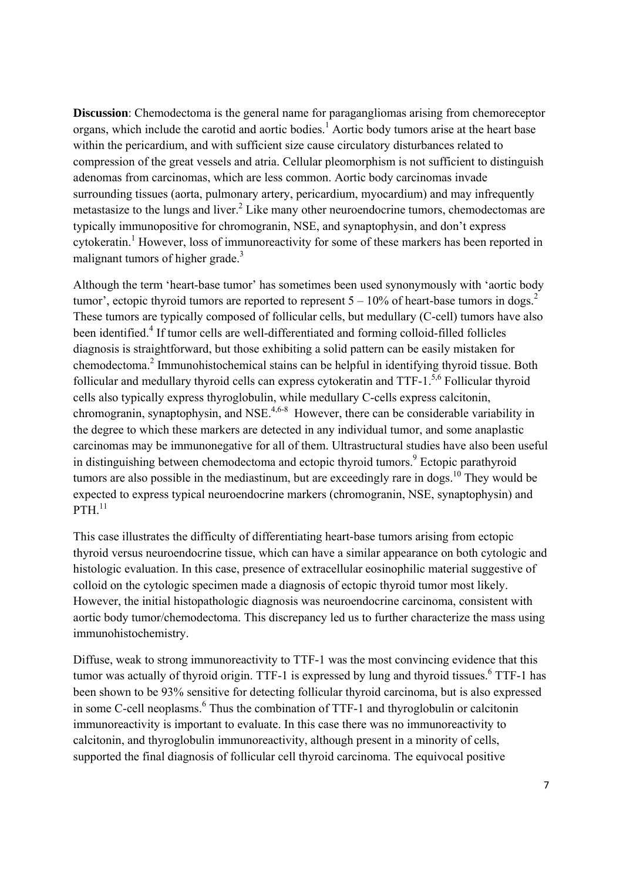**Discussion**: Chemodectoma is the general name for paragangliomas arising from chemoreceptor organs, which include the carotid and aortic bodies.<sup>1</sup> Aortic body tumors arise at the heart base within the pericardium, and with sufficient size cause circulatory disturbances related to compression of the great vessels and atria. Cellular pleomorphism is not sufficient to distinguish adenomas from carcinomas, which are less common. Aortic body carcinomas invade surrounding tissues (aorta, pulmonary artery, pericardium, myocardium) and may infrequently metastasize to the lungs and liver.<sup>2</sup> Like many other neuroendocrine tumors, chemodectomas are typically immunopositive for chromogranin, NSE, and synaptophysin, and don't express cytokeratin.<sup>1</sup> However, loss of immunoreactivity for some of these markers has been reported in malignant tumors of higher grade. $3$ 

Although the term 'heart-base tumor' has sometimes been used synonymously with 'aortic body tumor', ectopic thyroid tumors are reported to represent  $5 - 10\%$  of heart-base tumors in dogs.<sup>2</sup> These tumors are typically composed of follicular cells, but medullary (C-cell) tumors have also been identified.<sup>4</sup> If tumor cells are well-differentiated and forming colloid-filled follicles diagnosis is straightforward, but those exhibiting a solid pattern can be easily mistaken for chemodectoma.<sup>2</sup> Immunohistochemical stains can be helpful in identifying thyroid tissue. Both follicular and medullary thyroid cells can express cytokeratin and  $TTF-1$ <sup>5,6</sup> Follicular thyroid cells also typically express thyroglobulin, while medullary C-cells express calcitonin, chromogranin, synaptophysin, and NSE.<sup>4,6-8</sup> However, there can be considerable variability in the degree to which these markers are detected in any individual tumor, and some anaplastic carcinomas may be immunonegative for all of them. Ultrastructural studies have also been useful in distinguishing between chemodectoma and ectopic thyroid tumors.<sup>9</sup> Ectopic parathyroid tumors are also possible in the mediastinum, but are exceedingly rare in dogs.<sup>10</sup> They would be expected to express typical neuroendocrine markers (chromogranin, NSE, synaptophysin) and  $PTH$ <sup>11</sup>

This case illustrates the difficulty of differentiating heart-base tumors arising from ectopic thyroid versus neuroendocrine tissue, which can have a similar appearance on both cytologic and histologic evaluation. In this case, presence of extracellular eosinophilic material suggestive of colloid on the cytologic specimen made a diagnosis of ectopic thyroid tumor most likely. However, the initial histopathologic diagnosis was neuroendocrine carcinoma, consistent with aortic body tumor/chemodectoma. This discrepancy led us to further characterize the mass using immunohistochemistry.

Diffuse, weak to strong immunoreactivity to TTF-1 was the most convincing evidence that this tumor was actually of thyroid origin. TTF-1 is expressed by lung and thyroid tissues.<sup>6</sup> TTF-1 has been shown to be 93% sensitive for detecting follicular thyroid carcinoma, but is also expressed in some C-cell neoplasms.<sup>6</sup> Thus the combination of TTF-1 and thyroglobulin or calcitonin immunoreactivity is important to evaluate. In this case there was no immunoreactivity to calcitonin, and thyroglobulin immunoreactivity, although present in a minority of cells, supported the final diagnosis of follicular cell thyroid carcinoma. The equivocal positive